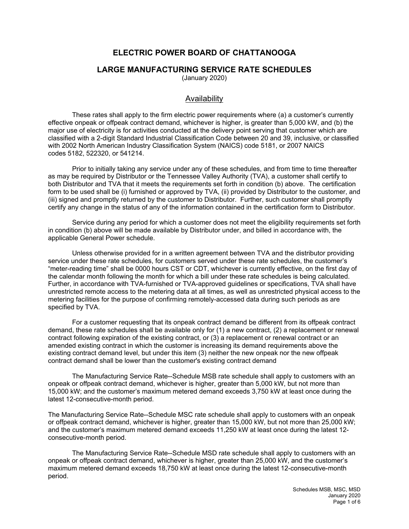## **ELECTRIC POWER BOARD OF CHATTANOOGA**

#### **LARGE MANUFACTURING SERVICE RATE SCHEDULES**

(January 2020)

#### Availability

These rates shall apply to the firm electric power requirements where (a) a customer's currently effective onpeak or offpeak contract demand, whichever is higher, is greater than 5,000 kW, and (b) the major use of electricity is for activities conducted at the delivery point serving that customer which are classified with a 2-digit Standard Industrial Classification Code between 20 and 39, inclusive, or classified with 2002 North American Industry Classification System (NAICS) code 5181, or 2007 NAICS codes 5182, 522320, or 541214.

Prior to initially taking any service under any of these schedules, and from time to time thereafter as may be required by Distributor or the Tennessee Valley Authority (TVA), a customer shall certify to both Distributor and TVA that it meets the requirements set forth in condition (b) above. The certification form to be used shall be (i) furnished or approved by TVA, (ii) provided by Distributor to the customer, and (iii) signed and promptly returned by the customer to Distributor. Further, such customer shall promptly certify any change in the status of any of the information contained in the certification form to Distributor.

Service during any period for which a customer does not meet the eligibility requirements set forth in condition (b) above will be made available by Distributor under, and billed in accordance with, the applicable General Power schedule.

Unless otherwise provided for in a written agreement between TVA and the distributor providing service under these rate schedules, for customers served under these rate schedules, the customer's "meter-reading time" shall be 0000 hours CST or CDT, whichever is currently effective, on the first day of the calendar month following the month for which a bill under these rate schedules is being calculated. Further, in accordance with TVA-furnished or TVA-approved guidelines or specifications, TVA shall have unrestricted remote access to the metering data at all times, as well as unrestricted physical access to the metering facilities for the purpose of confirming remotely-accessed data during such periods as are specified by TVA.

For a customer requesting that its onpeak contract demand be different from its offpeak contract demand, these rate schedules shall be available only for (1) a new contract, (2) a replacement or renewal contract following expiration of the existing contract, or (3) a replacement or renewal contract or an amended existing contract in which the customer is increasing its demand requirements above the existing contract demand level, but under this item (3) neither the new onpeak nor the new offpeak contract demand shall be lower than the customer's existing contract demand

The Manufacturing Service Rate--Schedule MSB rate schedule shall apply to customers with an onpeak or offpeak contract demand, whichever is higher, greater than 5,000 kW, but not more than 15,000 kW; and the customer's maximum metered demand exceeds 3,750 kW at least once during the latest 12-consecutive-month period.

The Manufacturing Service Rate--Schedule MSC rate schedule shall apply to customers with an onpeak or offpeak contract demand, whichever is higher, greater than 15,000 kW, but not more than 25,000 kW; and the customer's maximum metered demand exceeds 11,250 kW at least once during the latest 12 consecutive-month period.

The Manufacturing Service Rate--Schedule MSD rate schedule shall apply to customers with an onpeak or offpeak contract demand, whichever is higher, greater than 25,000 kW, and the customer's maximum metered demand exceeds 18,750 kW at least once during the latest 12-consecutive-month period.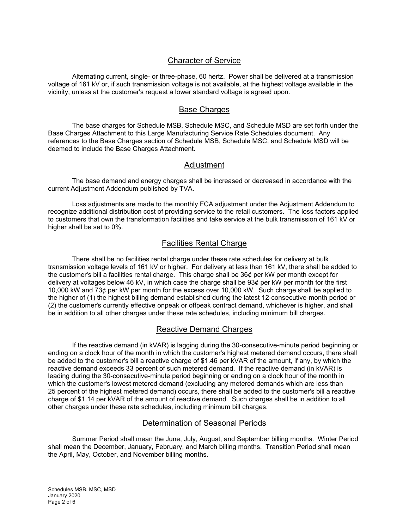#### Character of Service

Alternating current, single- or three-phase, 60 hertz. Power shall be delivered at a transmission voltage of 161 kV or, if such transmission voltage is not available, at the highest voltage available in the vicinity, unless at the customer's request a lower standard voltage is agreed upon.

#### Base Charges

The base charges for Schedule MSB, Schedule MSC, and Schedule MSD are set forth under the Base Charges Attachment to this Large Manufacturing Service Rate Schedules document. Any references to the Base Charges section of Schedule MSB, Schedule MSC, and Schedule MSD will be deemed to include the Base Charges Attachment.

#### Adjustment

The base demand and energy charges shall be increased or decreased in accordance with the current Adjustment Addendum published by TVA.

Loss adjustments are made to the monthly FCA adjustment under the Adjustment Addendum to recognize additional distribution cost of providing service to the retail customers. The loss factors applied to customers that own the transformation facilities and take service at the bulk transmission of 161 kV or higher shall be set to 0%.

#### Facilities Rental Charge

There shall be no facilities rental charge under these rate schedules for delivery at bulk transmission voltage levels of 161 kV or higher. For delivery at less than 161 kV, there shall be added to the customer's bill a facilities rental charge. This charge shall be 36¢ per kW per month except for delivery at voltages below 46 kV, in which case the charge shall be 93¢ per kW per month for the first 10,000 kW and 73¢ per kW per month for the excess over 10,000 kW. Such charge shall be applied to the higher of (1) the highest billing demand established during the latest 12-consecutive-month period or (2) the customer's currently effective onpeak or offpeak contract demand, whichever is higher, and shall be in addition to all other charges under these rate schedules, including minimum bill charges.

#### Reactive Demand Charges

If the reactive demand (in kVAR) is lagging during the 30-consecutive-minute period beginning or ending on a clock hour of the month in which the customer's highest metered demand occurs, there shall be added to the customer's bill a reactive charge of \$1.46 per kVAR of the amount, if any, by which the reactive demand exceeds 33 percent of such metered demand. If the reactive demand (in kVAR) is leading during the 30-consecutive-minute period beginning or ending on a clock hour of the month in which the customer's lowest metered demand (excluding any metered demands which are less than 25 percent of the highest metered demand) occurs, there shall be added to the customer's bill a reactive charge of \$1.14 per kVAR of the amount of reactive demand. Such charges shall be in addition to all other charges under these rate schedules, including minimum bill charges.

#### Determination of Seasonal Periods

Summer Period shall mean the June, July, August, and September billing months. Winter Period shall mean the December, January, February, and March billing months. Transition Period shall mean the April, May, October, and November billing months.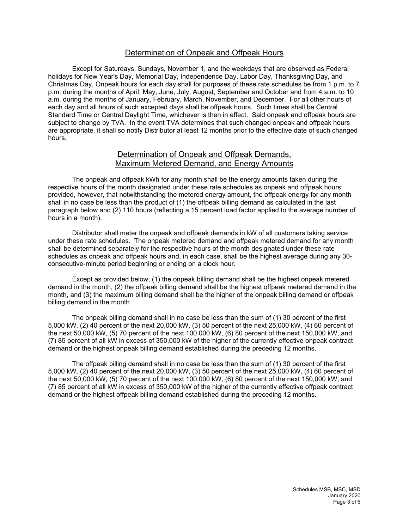#### Determination of Onpeak and Offpeak Hours

Except for Saturdays, Sundays, November 1, and the weekdays that are observed as Federal holidays for New Year's Day, Memorial Day, Independence Day, Labor Day, Thanksgiving Day, and Christmas Day, Onpeak hours for each day shall for purposes of these rate schedules be from 1 p.m. to 7 p.m. during the months of April, May, June, July, August, September and October and from 4 a.m. to 10 a.m. during the months of January, February, March, November, and December. For all other hours of each day and all hours of such excepted days shall be offpeak hours. Such times shall be Central Standard Time or Central Daylight Time, whichever is then in effect. Said onpeak and offpeak hours are subject to change by TVA. In the event TVA determines that such changed onpeak and offpeak hours are appropriate, it shall so notify Distributor at least 12 months prior to the effective date of such changed hours.

#### Determination of Onpeak and Offpeak Demands, Maximum Metered Demand, and Energy Amounts

The onpeak and offpeak kWh for any month shall be the energy amounts taken during the respective hours of the month designated under these rate schedules as onpeak and offpeak hours; provided, however, that notwithstanding the metered energy amount, the offpeak energy for any month shall in no case be less than the product of (1) the offpeak billing demand as calculated in the last paragraph below and (2) 110 hours (reflecting a 15 percent load factor applied to the average number of hours in a month).

Distributor shall meter the onpeak and offpeak demands in kW of all customers taking service under these rate schedules. The onpeak metered demand and offpeak metered demand for any month shall be determined separately for the respective hours of the month designated under these rate schedules as onpeak and offpeak hours and, in each case, shall be the highest average during any 30 consecutive-minute period beginning or ending on a clock hour.

Except as provided below, (1) the onpeak billing demand shall be the highest onpeak metered demand in the month, (2) the offpeak billing demand shall be the highest offpeak metered demand in the month, and (3) the maximum billing demand shall be the higher of the onpeak billing demand or offpeak billing demand in the month.

The onpeak billing demand shall in no case be less than the sum of (1) 30 percent of the first 5,000 kW, (2) 40 percent of the next 20,000 kW, (3) 50 percent of the next 25,000 kW, (4) 60 percent of the next 50,000 kW, (5) 70 percent of the next 100,000 kW, (6) 80 percent of the next 150,000 kW, and (7) 85 percent of all kW in excess of 350,000 kW of the higher of the currently effective onpeak contract demand or the highest onpeak billing demand established during the preceding 12 months.

The offpeak billing demand shall in no case be less than the sum of (1) 30 percent of the first 5,000 kW, (2) 40 percent of the next 20,000 kW, (3) 50 percent of the next 25,000 kW, (4) 60 percent of the next 50,000 kW, (5) 70 percent of the next 100,000 kW, (6) 80 percent of the next 150,000 kW, and (7) 85 percent of all kW in excess of 350,000 kW of the higher of the currently effective offpeak contract demand or the highest offpeak billing demand established during the preceding 12 months.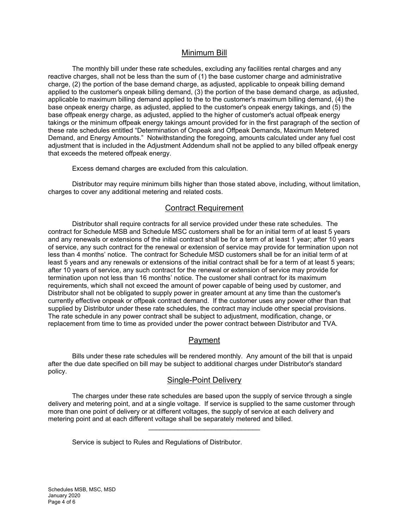#### Minimum Bill

The monthly bill under these rate schedules, excluding any facilities rental charges and any reactive charges, shall not be less than the sum of (1) the base customer charge and administrative charge, (2) the portion of the base demand charge, as adjusted, applicable to onpeak billing demand applied to the customer's onpeak billing demand, (3) the portion of the base demand charge, as adjusted, applicable to maximum billing demand applied to the to the customer's maximum billing demand, (4) the base onpeak energy charge, as adjusted, applied to the customer's onpeak energy takings, and (5) the base offpeak energy charge, as adjusted, applied to the higher of customer's actual offpeak energy takings or the minimum offpeak energy takings amount provided for in the first paragraph of the section of these rate schedules entitled "Determination of Onpeak and Offpeak Demands, Maximum Metered Demand, and Energy Amounts." Notwithstanding the foregoing, amounts calculated under any fuel cost adjustment that is included in the Adjustment Addendum shall not be applied to any billed offpeak energy that exceeds the metered offpeak energy.

Excess demand charges are excluded from this calculation.

Distributor may require minimum bills higher than those stated above, including, without limitation, charges to cover any additional metering and related costs.

#### Contract Requirement

Distributor shall require contracts for all service provided under these rate schedules. The contract for Schedule MSB and Schedule MSC customers shall be for an initial term of at least 5 years and any renewals or extensions of the initial contract shall be for a term of at least 1 year; after 10 years of service, any such contract for the renewal or extension of service may provide for termination upon not less than 4 months' notice. The contract for Schedule MSD customers shall be for an initial term of at least 5 years and any renewals or extensions of the initial contract shall be for a term of at least 5 years; after 10 years of service, any such contract for the renewal or extension of service may provide for termination upon not less than 16 months' notice. The customer shall contract for its maximum requirements, which shall not exceed the amount of power capable of being used by customer, and Distributor shall not be obligated to supply power in greater amount at any time than the customer's currently effective onpeak or offpeak contract demand. If the customer uses any power other than that supplied by Distributor under these rate schedules, the contract may include other special provisions. The rate schedule in any power contract shall be subject to adjustment, modification, change, or replacement from time to time as provided under the power contract between Distributor and TVA.

### Payment

Bills under these rate schedules will be rendered monthly. Any amount of the bill that is unpaid after the due date specified on bill may be subject to additional charges under Distributor's standard policy.

#### Single-Point Delivery

The charges under these rate schedules are based upon the supply of service through a single delivery and metering point, and at a single voltage. If service is supplied to the same customer through more than one point of delivery or at different voltages, the supply of service at each delivery and metering point and at each different voltage shall be separately metered and billed.

Service is subject to Rules and Regulations of Distributor.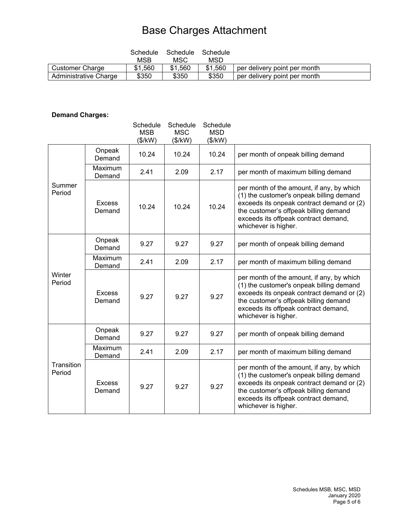# Base Charges Attachment

|                       | Schedule<br><b>MSB</b> | Schedule<br>MSC | Schedule<br>MSD |                              |
|-----------------------|------------------------|-----------------|-----------------|------------------------------|
| Customer Charge       | \$1,560                | \$1,560         | \$1,560         | per delivery point per month |
| Administrative Charge | \$350                  | \$350           | \$350           | per delivery point per month |

## **Demand Charges:**

|                      |                         | Schedule<br><b>MSB</b><br>(\$/kW) | Schedule<br><b>MSC</b><br>(\$/kW) | Schedule<br><b>MSD</b><br>(\$/kW) |                                                                                                                                                                                                                                             |
|----------------------|-------------------------|-----------------------------------|-----------------------------------|-----------------------------------|---------------------------------------------------------------------------------------------------------------------------------------------------------------------------------------------------------------------------------------------|
| Summer<br>Period     | Onpeak<br>Demand        | 10.24                             | 10.24                             | 10.24                             | per month of onpeak billing demand                                                                                                                                                                                                          |
|                      | Maximum<br>Demand       | 2.41                              | 2.09                              | 2.17                              | per month of maximum billing demand                                                                                                                                                                                                         |
|                      | <b>Excess</b><br>Demand | 10.24                             | 10.24                             | 10.24                             | per month of the amount, if any, by which<br>(1) the customer's onpeak billing demand<br>exceeds its onpeak contract demand or (2)<br>the customer's offpeak billing demand<br>exceeds its offpeak contract demand,<br>whichever is higher. |
| Winter<br>Period     | Onpeak<br>Demand        | 9.27                              | 9.27                              | 9.27                              | per month of onpeak billing demand                                                                                                                                                                                                          |
|                      | Maximum<br>Demand       | 2.41                              | 2.09                              | 2.17                              | per month of maximum billing demand                                                                                                                                                                                                         |
|                      | <b>Excess</b><br>Demand | 9.27                              | 9.27                              | 9.27                              | per month of the amount, if any, by which<br>(1) the customer's onpeak billing demand<br>exceeds its onpeak contract demand or (2)<br>the customer's offpeak billing demand<br>exceeds its offpeak contract demand,<br>whichever is higher. |
| Transition<br>Period | Onpeak<br>Demand        | 9.27                              | 9.27                              | 9.27                              | per month of onpeak billing demand                                                                                                                                                                                                          |
|                      | Maximum<br>Demand       | 2.41                              | 2.09                              | 2.17                              | per month of maximum billing demand                                                                                                                                                                                                         |
|                      | <b>Excess</b><br>Demand | 9.27                              | 9.27                              | 9.27                              | per month of the amount, if any, by which<br>(1) the customer's onpeak billing demand<br>exceeds its onpeak contract demand or (2)<br>the customer's offpeak billing demand<br>exceeds its offpeak contract demand,<br>whichever is higher. |